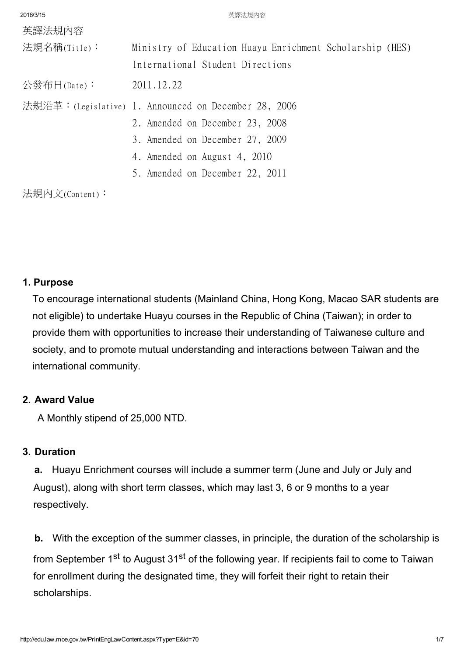| 2016/3/15      | 英譯法規内容                                                   |
|----------------|----------------------------------------------------------|
| 英譯法規內容         |                                                          |
| 法規名稱(Title):   | Ministry of Education Huayu Enrichment Scholarship (HES) |
|                | International Student Directions                         |
| 公發布日(Date):    | 2011.12.22                                               |
|                | 法規沿革:(Legislative) 1. Announced on December 28, 2006     |
|                | 2. Amended on December 23, 2008                          |
|                | 3. Amended on December 27, 2009                          |
|                | 4. Amended on August 4, 2010                             |
|                | 5. Amended on December 22, 2011                          |
| 法規内文(Content): |                                                          |

# 1. Purpose

To encourage international students (Mainland China, Hong Kong, Macao SAR students are not eligible) to undertake Huayu courses in the Republic of China (Taiwan); in order to provide them with opportunities to increase their understanding of Taiwanese culture and society, and to promote mutual understanding and interactions between Taiwan and the international community.

# 2. Award Value

A Monthly stipend of 25,000 NTD.

# 3. Duration

a. Huayu Enrichment courses will include a summer term (June and July or July and August), along with short term classes, which may last 3, 6 or 9 months to a year respectively.

b. With the exception of the summer classes, in principle, the duration of the scholarship is from September 1<sup>st</sup> to August 31<sup>st</sup> of the following year. If recipients fail to come to Taiwan for enrollment during the designated time, they will forfeit their right to retain their scholarships.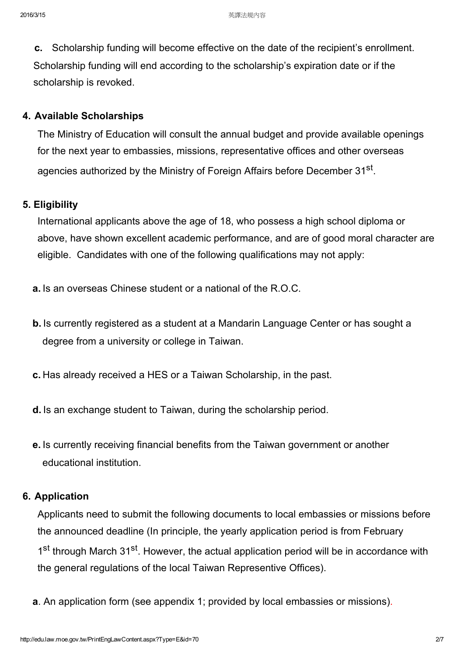c. Scholarship funding will become effective on the date of the recipient's enrollment. Scholarship funding will end according to the scholarship's expiration date or if the scholarship is revoked.

### 4. Available Scholarships

The Ministry of Education will consult the annual budget and provide available openings for the next year to embassies, missions, representative offices and other overseas agencies authorized by the Ministry of Foreign Affairs before December 31<sup>st</sup>.

### 5. Eligibility

International applicants above the age of 18, who possess a high school diploma or above, have shown excellent academic performance, and are of good moral character are eligible. Candidates with one of the following qualifications may not apply:

- a. Is an overseas Chinese student or a national of the R.O.C.
- b. Is currently registered as a student at a Mandarin Language Center or has sought a degree from a university or college in Taiwan.
- c. Has already received a HES or a Taiwan Scholarship, in the past.
- d. Is an exchange student to Taiwan, during the scholarship period.
- e. Is currently receiving financial benefits from the Taiwan government or another educational institution.

### 6. Application

Applicants need to submit the following documents to local embassies or missions before the announced deadline (In principle, the yearly application period is from February 1<sup>st</sup> through March 31<sup>st</sup>. However, the actual application period will be in accordance with the general regulations of the local Taiwan Representive Offices).

a. An application form (see appendix 1; provided by local embassies or missions).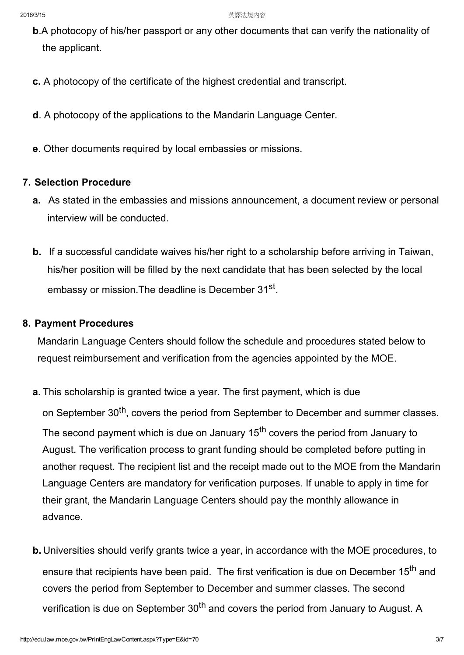- b.A photocopy of his/her passport or any other documents that can verify the nationality of the applicant.
- c. A photocopy of the certificate of the highest credential and transcript.
- d. A photocopy of the applications to the Mandarin Language Center.
- e. Other documents required by local embassies or missions.

### 7. Selection Procedure

- a. As stated in the embassies and missions announcement, a document review or personal interview will be conducted.
- b. If a successful candidate waives his/her right to a scholarship before arriving in Taiwan, his/her position will be filled by the next candidate that has been selected by the local embassy or mission. The deadline is December 31<sup>st</sup>.

#### 8. Payment Procedures

Mandarin Language Centers should follow the schedule and procedures stated below to request reimbursement and verification from the agencies appointed by the MOE.

a. This scholarship is granted twice a year. The first payment, which is due

on September 30<sup>th</sup>, covers the period from September to December and summer classes. The second payment which is due on January 15<sup>th</sup> covers the period from January to August. The verification process to grant funding should be completed before putting in another request. The recipient list and the receipt made out to the MOE from the Mandarin Language Centers are mandatory for verification purposes. If unable to apply in time for their grant, the Mandarin Language Centers should pay the monthly allowance in advance.

b. Universities should verify grants twice a year, in accordance with the MOE procedures, to ensure that recipients have been paid. The first verification is due on December 15<sup>th</sup> and covers the period from September to December and summer classes. The second verification is due on September 30<sup>th</sup> and covers the period from January to August. A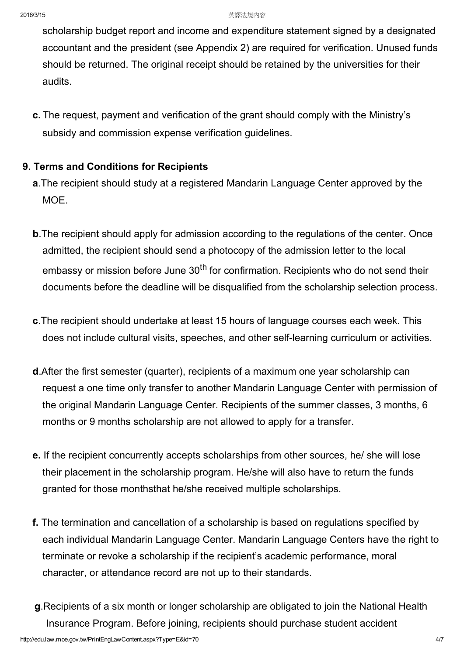scholarship budget report and income and expenditure statement signed by a designated accountant and the president (see Appendix 2) are required for verification. Unused funds should be returned. The original receipt should be retained by the universities for their audits.

c. The request, payment and verification of the grant should comply with the Ministry's subsidy and commission expense verification guidelines.

# 9. Terms and Conditions for Recipients

- a.The recipient should study at a registered Mandarin Language Center approved by the MOE.
- b.The recipient should apply for admission according to the regulations of the center. Once admitted, the recipient should send a photocopy of the admission letter to the local embassy or mission before June 30<sup>th</sup> for confirmation. Recipients who do not send their documents before the deadline will be disqualified from the scholarship selection process.
- c.The recipient should undertake at least 15 hours of language courses each week. This does not include cultural visits, speeches, and other self-learning curriculum or activities.
- d.After the first semester (quarter), recipients of a maximum one year scholarship can request a one time only transfer to another Mandarin Language Center with permission of the original Mandarin Language Center. Recipients of the summer classes, 3 months, 6 months or 9 months scholarship are not allowed to apply for a transfer.
- e. If the recipient concurrently accepts scholarships from other sources, he/ she will lose their placement in the scholarship program. He/she will also have to return the funds granted for those monthsthat he/she received multiple scholarships.
- f. The termination and cancellation of a scholarship is based on regulations specified by each individual Mandarin Language Center. Mandarin Language Centers have the right to terminate or revoke a scholarship if the recipient's academic performance, moral character, or attendance record are not up to their standards.
- g.Recipients of a six month or longer scholarship are obligated to join the National Health Insurance Program. Before joining, recipients should purchase student accident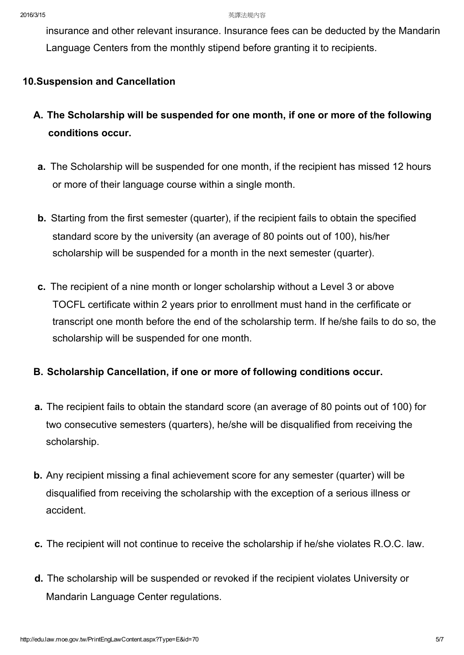insurance and other relevant insurance. Insurance fees can be deducted by the Mandarin Language Centers from the monthly stipend before granting it to recipients.

# 10.Suspension and Cancellation

- A. The Scholarship will be suspended for one month, if one or more of the following conditions occur.
- a. The Scholarship will be suspended for one month, if the recipient has missed 12 hours or more of their language course within a single month.
- b. Starting from the first semester (quarter), if the recipient fails to obtain the specified standard score by the university (an average of 80 points out of 100), his/her scholarship will be suspended for a month in the next semester (quarter).
- c. The recipient of a nine month or longer scholarship without a Level 3 or above TOCFL certificate within 2 years prior to enrollment must hand in the cerfificate or transcript one month before the end of the scholarship term. If he/she fails to do so, the scholarship will be suspended for one month.

# B. Scholarship Cancellation, if one or more of following conditions occur.

- a. The recipient fails to obtain the standard score (an average of 80 points out of 100) for two consecutive semesters (quarters), he/she will be disqualified from receiving the scholarship.
- b. Any recipient missing a final achievement score for any semester (quarter) will be disqualified from receiving the scholarship with the exception of a serious illness or accident.
- c. The recipient will not continue to receive the scholarship if he/she violates R.O.C. law.
- d. The scholarship will be suspended or revoked if the recipient violates University or Mandarin Language Center regulations.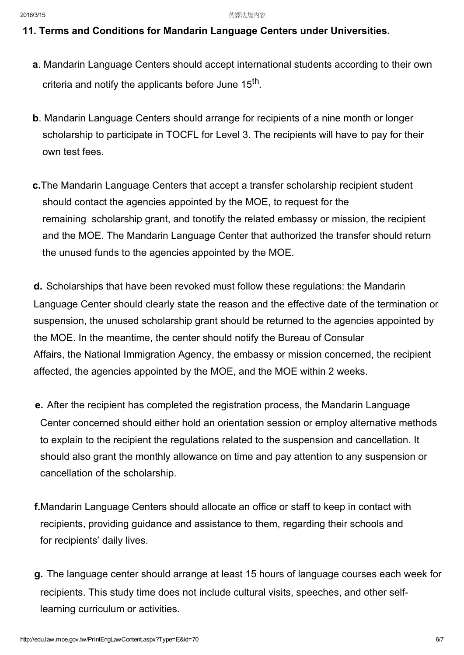### 11. Terms and Conditions for Mandarin Language Centers under Universities.

- a. Mandarin Language Centers should accept international students according to their own criteria and notify the applicants before June 15<sup>th</sup>.
- b. Mandarin Language Centers should arrange for recipients of a nine month or longer scholarship to participate in TOCFL for Level 3. The recipients will have to pay for their own test fees.
- c.The Mandarin Language Centers that accept a transfer scholarship recipient student should contact the agencies appointed by the MOE, to request for the remaining scholarship grant, and tonotify the related embassy or mission, the recipient and the MOE. The Mandarin Language Center that authorized the transfer should return the unused funds to the agencies appointed by the MOE.

d. Scholarships that have been revoked must follow these regulations: the Mandarin Language Center should clearly state the reason and the effective date of the termination or suspension, the unused scholarship grant should be returned to the agencies appointed by the MOE. In the meantime, the center should notify the Bureau of Consular Affairs, the National Immigration Agency, the embassy or mission concerned, the recipient affected, the agencies appointed by the MOE, and the MOE within 2 weeks.

- e. After the recipient has completed the registration process, the Mandarin Language Center concerned should either hold an orientation session or employ alternative methods to explain to the recipient the regulations related to the suspension and cancellation. It should also grant the monthly allowance on time and pay attention to any suspension or cancellation of the scholarship.
- f.Mandarin Language Centers should allocate an office or staff to keep in contact with recipients, providing guidance and assistance to them, regarding their schools and for recipients' daily lives.
- g. The language center should arrange at least 15 hours of language courses each week for recipients. This study time does not include cultural visits, speeches, and other selflearning curriculum or activities.